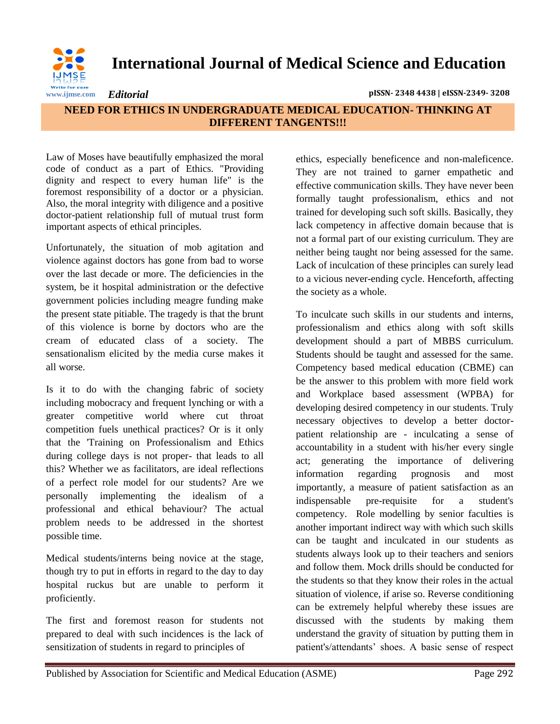

**International Journal of Medical Science and Education**

*Editorial* **pISSN- 2348 4438 | eISSN-2349- 3208**

## **NEED FOR ETHICS IN UNDERGRADUATE MEDICAL EDUCATION- THINKING AT DIFFERENT TANGENTS!!!**

Law of Moses have beautifully emphasized the moral code of conduct as a part of Ethics. "Providing dignity and respect to every human life" is the foremost responsibility of a doctor or a physician. Also, the moral integrity with diligence and a positive doctor-patient relationship full of mutual trust form important aspects of ethical principles.

Unfortunately, the situation of mob agitation and violence against doctors has gone from bad to worse over the last decade or more. The deficiencies in the system, be it hospital administration or the defective government policies including meagre funding make the present state pitiable. The tragedy is that the brunt of this violence is borne by doctors who are the cream of educated class of a society. The sensationalism elicited by the media curse makes it all worse.

Is it to do with the changing fabric of society including mobocracy and frequent lynching or with a greater competitive world where cut throat competition fuels unethical practices? Or is it only that the 'Training on Professionalism and Ethics during college days is not proper- that leads to all this? Whether we as facilitators, are ideal reflections of a perfect role model for our students? Are we personally implementing the idealism of a professional and ethical behaviour? The actual problem needs to be addressed in the shortest possible time.

Medical students/interns being novice at the stage, though try to put in efforts in regard to the day to day hospital ruckus but are unable to perform it proficiently.

The first and foremost reason for students not prepared to deal with such incidences is the lack of sensitization of students in regard to principles of

ethics, especially beneficence and non-maleficence. They are not trained to garner empathetic and effective communication skills. They have never been formally taught professionalism, ethics and not trained for developing such soft skills. Basically, they lack competency in affective domain because that is not a formal part of our existing curriculum. They are neither being taught nor being assessed for the same. Lack of inculcation of these principles can surely lead to a vicious never-ending cycle. Henceforth, affecting the society as a whole.

To inculcate such skills in our students and interns, professionalism and ethics along with soft skills development should a part of MBBS curriculum. Students should be taught and assessed for the same. Competency based medical education (CBME) can be the answer to this problem with more field work and Workplace based assessment (WPBA) for developing desired competency in our students. Truly necessary objectives to develop a better doctorpatient relationship are - inculcating a sense of accountability in a student with his/her every single act; generating the importance of delivering information regarding prognosis and most importantly, a measure of patient satisfaction as an indispensable pre-requisite for a student's competency. Role modelling by senior faculties is another important indirect way with which such skills can be taught and inculcated in our students as students always look up to their teachers and seniors and follow them. Mock drills should be conducted for the students so that they know their roles in the actual situation of violence, if arise so. Reverse conditioning can be extremely helpful whereby these issues are discussed with the students by making them understand the gravity of situation by putting them in patient's/attendants' shoes. A basic sense of respect